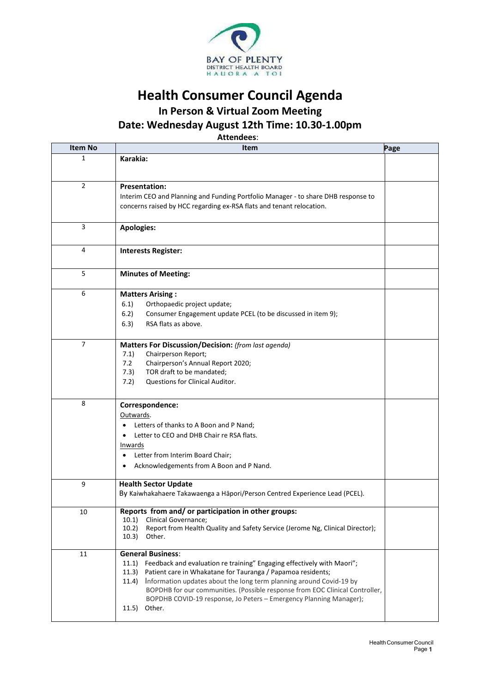

## **Health Consumer Council Agenda**

**In Person & Virtual Zoom Meeting**

**Date: Wednesday August 12th Time: 10.30-1.00pm**

**Attendees**:

| <b>Item No</b> | Item                                                                                                                                               | Page |
|----------------|----------------------------------------------------------------------------------------------------------------------------------------------------|------|
| 1              | Karakia:                                                                                                                                           |      |
|                |                                                                                                                                                    |      |
| $\overline{2}$ | <b>Presentation:</b>                                                                                                                               |      |
|                | Interim CEO and Planning and Funding Portfolio Manager - to share DHB response to                                                                  |      |
|                | concerns raised by HCC regarding ex-RSA flats and tenant relocation.                                                                               |      |
|                |                                                                                                                                                    |      |
| 3              | <b>Apologies:</b>                                                                                                                                  |      |
| 4              | <b>Interests Register:</b>                                                                                                                         |      |
|                |                                                                                                                                                    |      |
| 5              | <b>Minutes of Meeting:</b>                                                                                                                         |      |
| 6              | <b>Matters Arising:</b>                                                                                                                            |      |
|                | 6.1)<br>Orthopaedic project update;                                                                                                                |      |
|                | 6.2)<br>Consumer Engagement update PCEL (to be discussed in item 9);                                                                               |      |
|                | RSA flats as above.<br>6.3)                                                                                                                        |      |
| $\overline{7}$ | Matters For Discussion/Decision: (from last agenda)                                                                                                |      |
|                | 7.1)<br>Chairperson Report;                                                                                                                        |      |
|                | 7.2<br>Chairperson's Annual Report 2020;                                                                                                           |      |
|                | TOR draft to be mandated;<br>7.3)                                                                                                                  |      |
|                | 7.2)<br>Questions for Clinical Auditor.                                                                                                            |      |
| 8              | Correspondence:                                                                                                                                    |      |
|                | Outwards.                                                                                                                                          |      |
|                | Letters of thanks to A Boon and P Nand;                                                                                                            |      |
|                | Letter to CEO and DHB Chair re RSA flats.                                                                                                          |      |
|                | Inwards                                                                                                                                            |      |
|                | Letter from Interim Board Chair;                                                                                                                   |      |
|                | Acknowledgements from A Boon and P Nand.                                                                                                           |      |
| 9              | <b>Health Sector Update</b>                                                                                                                        |      |
|                | By Kaiwhakahaere Takawaenga a Hāpori/Person Centred Experience Lead (PCEL).                                                                        |      |
|                |                                                                                                                                                    |      |
| 10             | Reports from and/ or participation in other groups:<br>Clinical Governance;<br>10.1)                                                               |      |
|                | Report from Health Quality and Safety Service (Jerome Ng, Clinical Director);<br>10.2)                                                             |      |
|                | 10.3)<br>Other.                                                                                                                                    |      |
| 11             | <b>General Business:</b>                                                                                                                           |      |
|                | Feedback and evaluation re training" Engaging effectively with Maori";<br>11.1)                                                                    |      |
|                | Patient care in Whakatane for Tauranga / Papamoa residents;<br>11.3)                                                                               |      |
|                | Information updates about the long term planning around Covid-19 by<br>11.4)                                                                       |      |
|                | BOPDHB for our communities. (Possible response from EOC Clinical Controller,<br>BOPDHB COVID-19 response, Jo Peters - Emergency Planning Manager); |      |
|                | Other.<br>11.5)                                                                                                                                    |      |
|                |                                                                                                                                                    |      |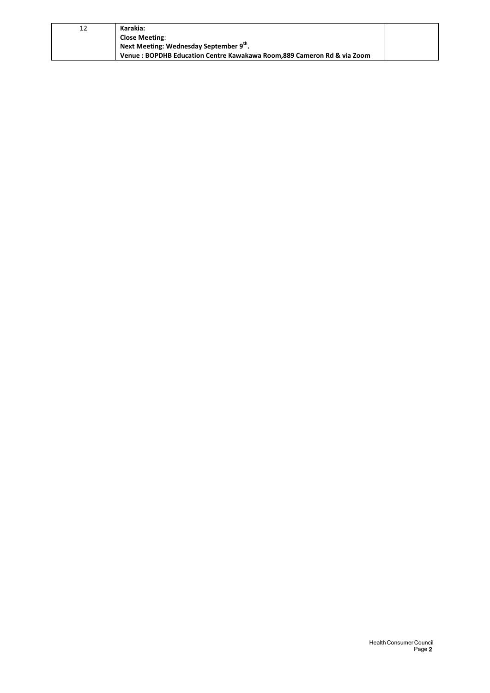| 12 | Karakia:                                                               |  |
|----|------------------------------------------------------------------------|--|
|    | <b>Close Meeting:</b>                                                  |  |
|    | Next Meeting: Wednesday September 9 <sup>th</sup> .                    |  |
|    | Venue: BOPDHB Education Centre Kawakawa Room.889 Cameron Rd & via Zoom |  |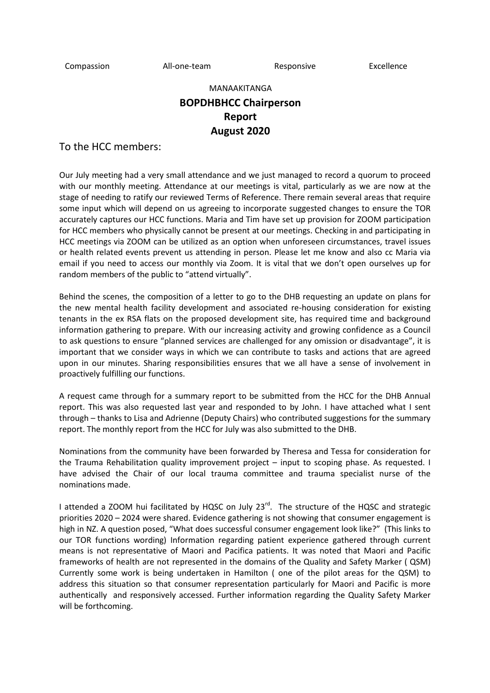Compassion All-one-team Responsive Excellence

MANAAKITANGA

## **BOPDHBHCC Chairperson Report August 2020**

To the HCC members:

Our July meeting had a very small attendance and we just managed to record a quorum to proceed with our monthly meeting. Attendance at our meetings is vital, particularly as we are now at the stage of needing to ratify our reviewed Terms of Reference. There remain several areas that require some input which will depend on us agreeing to incorporate suggested changes to ensure the TOR accurately captures our HCC functions. Maria and Tim have set up provision for ZOOM participation for HCC members who physically cannot be present at our meetings. Checking in and participating in HCC meetings via ZOOM can be utilized as an option when unforeseen circumstances, travel issues or health related events prevent us attending in person. Please let me know and also cc Maria via email if you need to access our monthly via Zoom. It is vital that we don't open ourselves up for random members of the public to "attend virtually".

Behind the scenes, the composition of a letter to go to the DHB requesting an update on plans for the new mental health facility development and associated re-housing consideration for existing tenants in the ex RSA flats on the proposed development site, has required time and background information gathering to prepare. With our increasing activity and growing confidence as a Council to ask questions to ensure "planned services are challenged for any omission or disadvantage", it is important that we consider ways in which we can contribute to tasks and actions that are agreed upon in our minutes. Sharing responsibilities ensures that we all have a sense of involvement in proactively fulfilling our functions.

A request came through for a summary report to be submitted from the HCC for the DHB Annual report. This was also requested last year and responded to by John. I have attached what I sent through – thanks to Lisa and Adrienne (Deputy Chairs) who contributed suggestions for the summary report. The monthly report from the HCC for July was also submitted to the DHB.

Nominations from the community have been forwarded by Theresa and Tessa for consideration for the Trauma Rehabilitation quality improvement project – input to scoping phase. As requested. I have advised the Chair of our local trauma committee and trauma specialist nurse of the nominations made.

I attended a ZOOM hui facilitated by HQSC on July  $23^{rd}$ . The structure of the HQSC and strategic priorities 2020 – 2024 were shared. Evidence gathering is not showing that consumer engagement is high in NZ. A question posed, "What does successful consumer engagement look like?" (This links to our TOR functions wording) Information regarding patient experience gathered through current means is not representative of Maori and Pacifica patients. It was noted that Maori and Pacific frameworks of health are not represented in the domains of the Quality and Safety Marker ( QSM) Currently some work is being undertaken in Hamilton ( one of the pilot areas for the QSM) to address this situation so that consumer representation particularly for Maori and Pacific is more authentically and responsively accessed. Further information regarding the Quality Safety Marker will be forthcoming.